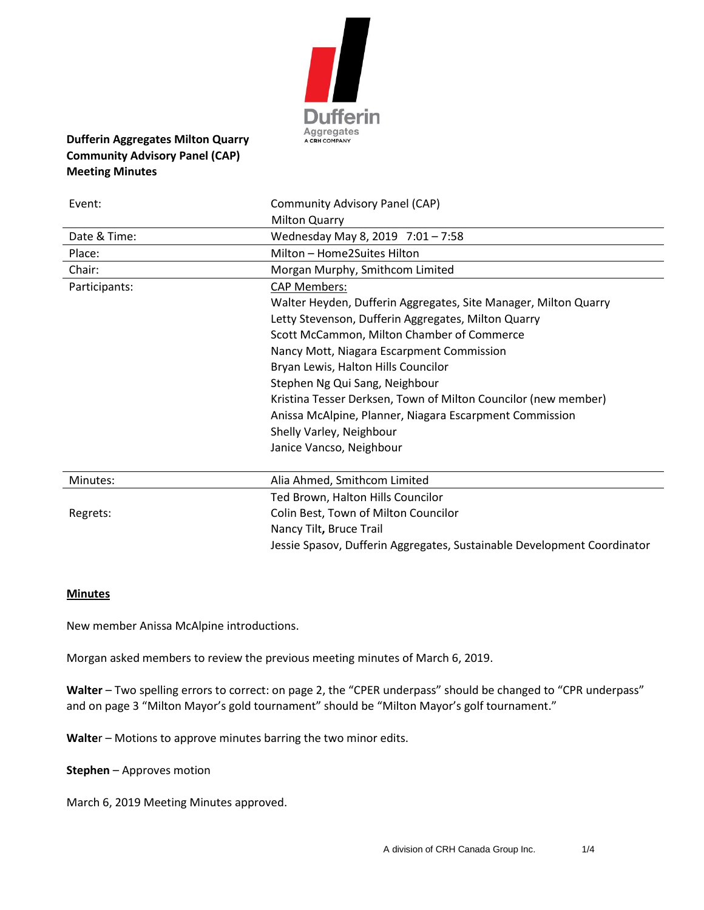

# **Dufferin Aggregates Milton Quarry Community Advisory Panel (CAP) Meeting Minutes**

| Event:        | Community Advisory Panel (CAP)                                          |
|---------------|-------------------------------------------------------------------------|
|               | <b>Milton Quarry</b>                                                    |
| Date & Time:  | Wednesday May 8, 2019 7:01 - 7:58                                       |
| Place:        | Milton - Home2Suites Hilton                                             |
| Chair:        | Morgan Murphy, Smithcom Limited                                         |
| Participants: | <b>CAP Members:</b>                                                     |
|               | Walter Heyden, Dufferin Aggregates, Site Manager, Milton Quarry         |
|               | Letty Stevenson, Dufferin Aggregates, Milton Quarry                     |
|               | Scott McCammon, Milton Chamber of Commerce                              |
|               | Nancy Mott, Niagara Escarpment Commission                               |
|               | Bryan Lewis, Halton Hills Councilor                                     |
|               | Stephen Ng Qui Sang, Neighbour                                          |
|               | Kristina Tesser Derksen, Town of Milton Councilor (new member)          |
|               | Anissa McAlpine, Planner, Niagara Escarpment Commission                 |
|               | Shelly Varley, Neighbour                                                |
|               | Janice Vancso, Neighbour                                                |
| Minutes:      | Alia Ahmed, Smithcom Limited                                            |
|               | Ted Brown, Halton Hills Councilor                                       |
| Regrets:      | Colin Best, Town of Milton Councilor                                    |
|               | Nancy Tilt, Bruce Trail                                                 |
|               | Jessie Spasov, Dufferin Aggregates, Sustainable Development Coordinator |

#### **Minutes**

New member Anissa McAlpine introductions.

Morgan asked members to review the previous meeting minutes of March 6, 2019.

**Walter** – Two spelling errors to correct: on page 2, the "CPER underpass" should be changed to "CPR underpass" and on page 3 "Milton Mayor's gold tournament" should be "Milton Mayor's golf tournament."

**Walte**r – Motions to approve minutes barring the two minor edits.

**Stephen** – Approves motion

March 6, 2019 Meeting Minutes approved.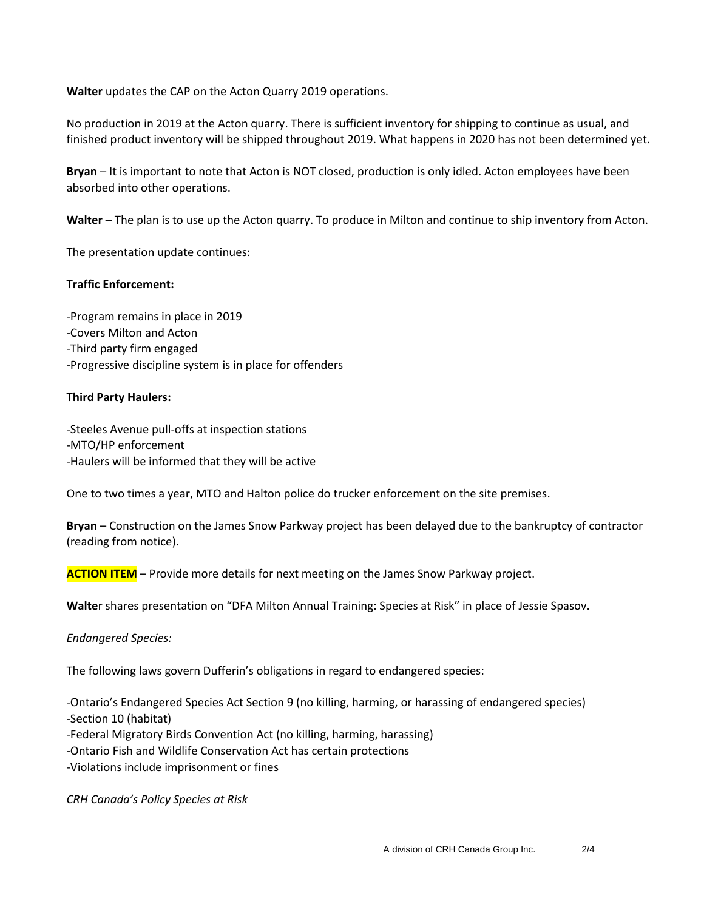**Walter** updates the CAP on the Acton Quarry 2019 operations.

No production in 2019 at the Acton quarry. There is sufficient inventory for shipping to continue as usual, and finished product inventory will be shipped throughout 2019. What happens in 2020 has not been determined yet.

**Bryan** – It is important to note that Acton is NOT closed, production is only idled. Acton employees have been absorbed into other operations.

**Walter** – The plan is to use up the Acton quarry. To produce in Milton and continue to ship inventory from Acton.

The presentation update continues:

## **Traffic Enforcement:**

-Program remains in place in 2019 -Covers Milton and Acton -Third party firm engaged -Progressive discipline system is in place for offenders

### **Third Party Haulers:**

-Steeles Avenue pull-offs at inspection stations -MTO/HP enforcement -Haulers will be informed that they will be active

One to two times a year, MTO and Halton police do trucker enforcement on the site premises.

**Bryan** – Construction on the James Snow Parkway project has been delayed due to the bankruptcy of contractor (reading from notice).

**ACTION ITEM** – Provide more details for next meeting on the James Snow Parkway project.

**Walte**r shares presentation on "DFA Milton Annual Training: Species at Risk" in place of Jessie Spasov.

*Endangered Species:*

The following laws govern Dufferin's obligations in regard to endangered species:

-Ontario's Endangered Species Act Section 9 (no killing, harming, or harassing of endangered species) -Section 10 (habitat)

-Federal Migratory Birds Convention Act (no killing, harming, harassing)

-Ontario Fish and Wildlife Conservation Act has certain protections

-Violations include imprisonment or fines

*CRH Canada's Policy Species at Risk*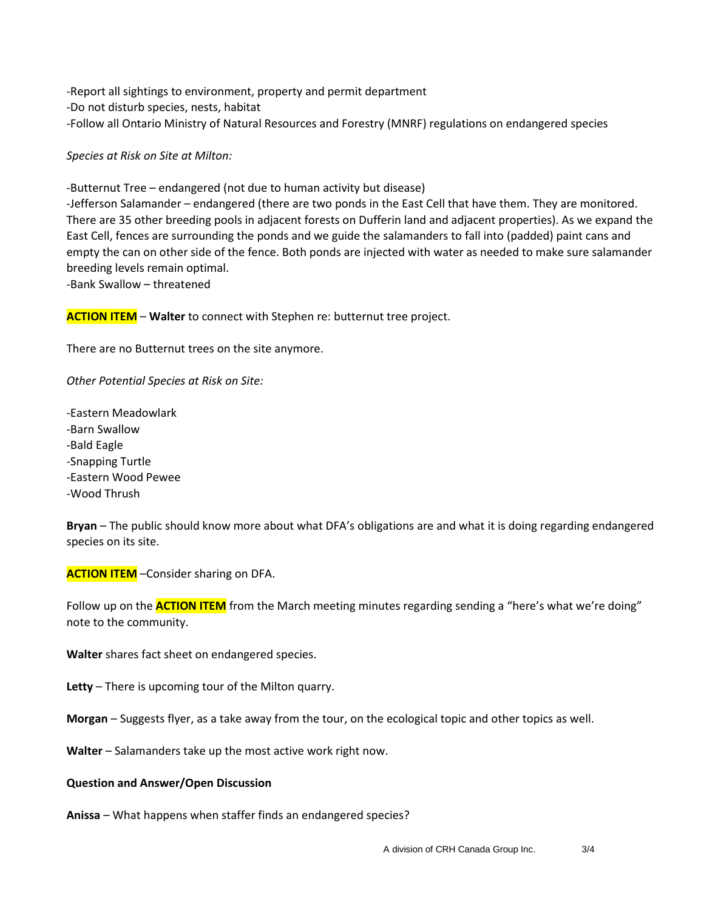-Report all sightings to environment, property and permit department -Do not disturb species, nests, habitat -Follow all Ontario Ministry of Natural Resources and Forestry (MNRF) regulations on endangered species

*Species at Risk on Site at Milton:*

-Butternut Tree – endangered (not due to human activity but disease)

-Jefferson Salamander – endangered (there are two ponds in the East Cell that have them. They are monitored. There are 35 other breeding pools in adjacent forests on Dufferin land and adjacent properties). As we expand the East Cell, fences are surrounding the ponds and we guide the salamanders to fall into (padded) paint cans and empty the can on other side of the fence. Both ponds are injected with water as needed to make sure salamander breeding levels remain optimal.

-Bank Swallow – threatened

**ACTION ITEM** – **Walter** to connect with Stephen re: butternut tree project.

There are no Butternut trees on the site anymore.

*Other Potential Species at Risk on Site:*

-Eastern Meadowlark -Barn Swallow -Bald Eagle -Snapping Turtle -Eastern Wood Pewee -Wood Thrush

**Bryan** – The public should know more about what DFA's obligations are and what it is doing regarding endangered species on its site.

**ACTION ITEM** –Consider sharing on DFA.

Follow up on the **ACTION ITEM** from the March meeting minutes regarding sending a "here's what we're doing" note to the community.

**Walter** shares fact sheet on endangered species.

**Letty** – There is upcoming tour of the Milton quarry.

**Morgan** – Suggests flyer, as a take away from the tour, on the ecological topic and other topics as well.

**Walter** – Salamanders take up the most active work right now.

#### **Question and Answer/Open Discussion**

**Anissa** – What happens when staffer finds an endangered species?